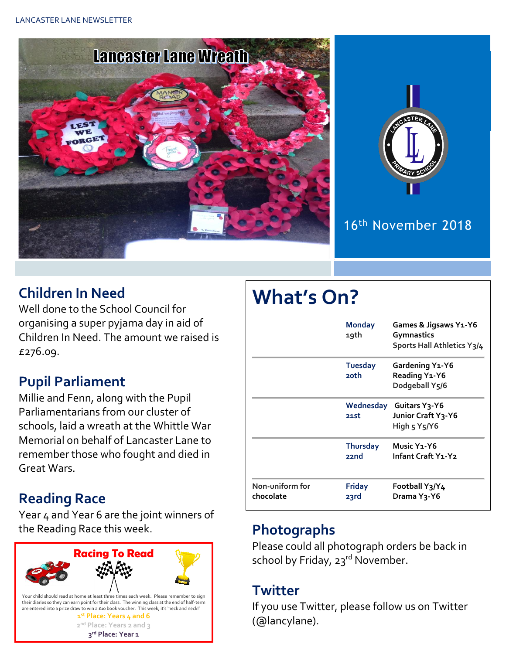



## 16 th November 2018

## **Children In Need**

Well done to the School Council for organising a super pyjama day in aid of Children In Need. The amount we raised is £276.09.

### **Pupil Parliament**

Millie and Fenn, along with the Pupil Parliamentarians from our cluster of schools, laid a wreath at the Whittle War Memorial on behalf of Lancaster Lane to remember those who fought and died in Great Wars.

### **Reading Race**

Year 4 and Year 6 are the joint winners of the Reading Race this week. **Photographs**



# **What's On?**

|                              | <b>Monday</b><br>19th   | Games & Jigsaws Y1-Y6<br>Gymnastics<br>Sports Hall Athletics Y3/4 |  |
|------------------------------|-------------------------|-------------------------------------------------------------------|--|
|                              | <b>Tuesday</b><br>20th  | Gardening Y1-Y6<br>Reading Y1-Y6<br>Dodgeball Y5/6                |  |
|                              | 21st                    | Wednesday Guitars Y3-Y6<br>Junior Craft Y3-Y6<br>High 5 Y5/Y6     |  |
|                              | <b>Thursday</b><br>22nd | Music Y <sub>1</sub> -Y <sub>6</sub><br>Infant Craft Y1-Y2        |  |
| Non-uniform for<br>chocolate | <b>Friday</b><br>23rd   | Football Y3/Y4<br>Drama Y <sub>3</sub> -Y6                        |  |

Please could all photograph orders be back in school by Friday, 23rd November.

#### **Twitter**

If you use Twitter, please follow us on Twitter (@lancylane).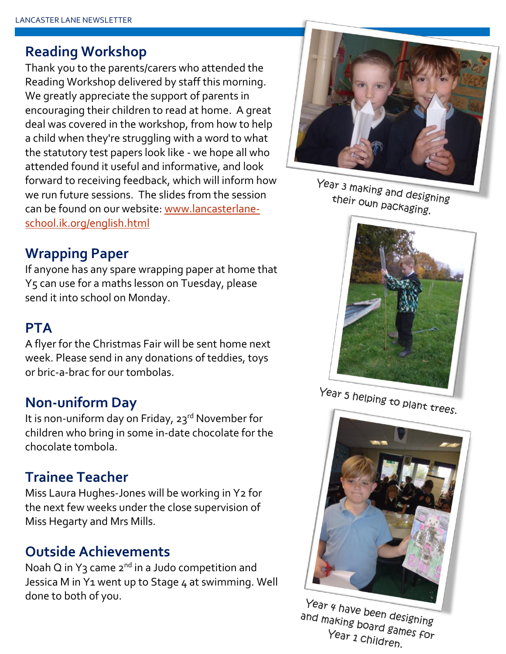#### **Reading Workshop**

Thank you to the parents/carers who attended the Reading Workshop delivered by staff this morning. We greatly appreciate the support of parents in encouraging their children to read at home. A great deal was covered in the workshop, from how to help a child when they're struggling with a word to what the statutory test papers look like - we hope all who attended found it useful and informative, and look forward to receiving feedback, which will inform how we run future sessions. The slides from the session can be found on our website: [www.lancasterlane](www.lancasterlane-school.ik.org/english.html)[school.ik.org/english.html](www.lancasterlane-school.ik.org/english.html)



Year 3 making and designing<br>their own packagi their own packaging.

#### **Wrapping Paper**

If anyone has any spare wrapping paper at home that Y5 can use for a maths lesson on Tuesday, please send it into school on Monday.

#### **PTA**

A flyer for the Christmas Fair will be sent home next week. Please send in any donations of teddies, toys or bric-a-brac for our tombolas.

#### **Non-uniform Day**

It is non-uniform day on Friday, 23<sup>rd</sup> November for children who bring in some in-date chocolate for the chocolate tombola.

#### **Trainee Teacher**

Miss Laura Hughes-Jones will be working in Y2 for the next few weeks under the close supervision of Miss Hegarty and Mrs Mills.

#### **Outside Achievements**

Noah Q in Y<sub>3</sub> came  $2^{nd}$  in a Judo competition and Jessica M in Y1 went up to Stage 4 at swimming. Well done to both of you.



Year 5 helping to plant trees.



Year 4 have been designing and making been designing<br>Year 1 Childrenes For Year 1 Children.